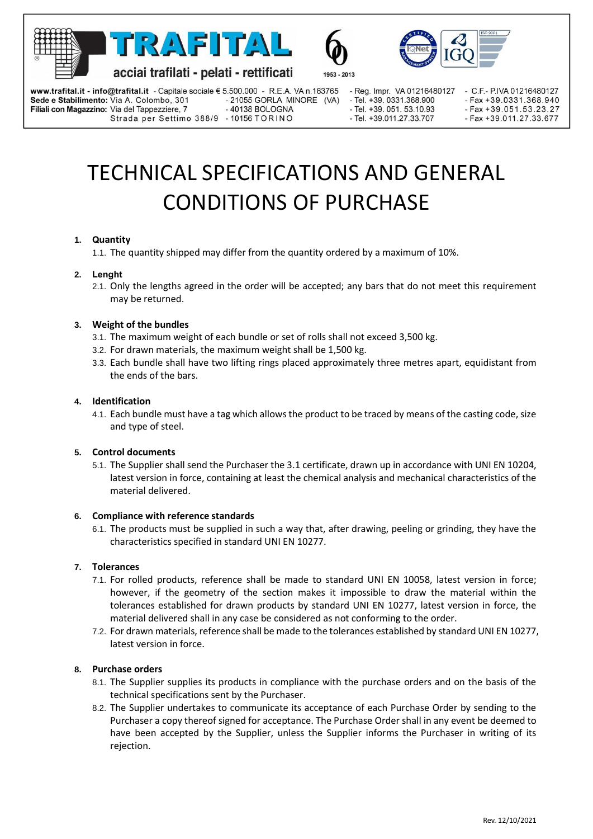







acciai trafilati - pelati - rettificati

Strada per Settimo 388/9 - 10156 TORINO

www.trafital.it - info@trafital.it - Capitale sociale € 5.500.000 - R.E.A. VA n.163765

1953 - 2013

- Reg. Impr. VA 01216480127 - Tel. +39. 0331.368.900 - Tel. +39. 051. 53.10.93 - Tel +39 011 27 33 707

- C.F.- P.IVA 01216480127 - Fax +39.0331.368.940 - Fax +39.051.53.23.27 - Fax +39.011.27.33.677

# TECHNICAL SPECIFICATIONS AND GENERAL CONDITIONS OF PURCHASE

- 21055 GORLA MINORE (VA)

- 40138 BOLOGNA

# **1. Quantity**

Sede e Stabilimento: Via A. Colombo, 301

Filiali con Magazzino: Via del Tappezziere, 7

1.1. The quantity shipped may differ from the quantity ordered by a maximum of 10%.

## **2. Lenght**

2.1. Only the lengths agreed in the order will be accepted; any bars that do not meet this requirement may be returned.

# **3. Weight of the bundles**

- 3.1. The maximum weight of each bundle or set of rolls shall not exceed 3,500 kg.
- 3.2. For drawn materials, the maximum weight shall be 1,500 kg.
- 3.3. Each bundle shall have two lifting rings placed approximately three metres apart, equidistant from the ends of the bars.

## **4. Identification**

4.1. Each bundle must have a tag which allows the product to be traced by means of the casting code, size and type of steel.

## **5. Control documents**

5.1. The Supplier shall send the Purchaser the 3.1 certificate, drawn up in accordance with UNI EN 10204, latest version in force, containing at least the chemical analysis and mechanical characteristics of the material delivered.

## **6. Compliance with reference standards**

6.1. The products must be supplied in such a way that, after drawing, peeling or grinding, they have the characteristics specified in standard UNI EN 10277.

## **7. Tolerances**

- 7.1. For rolled products, reference shall be made to standard UNI EN 10058, latest version in force; however, if the geometry of the section makes it impossible to draw the material within the tolerances established for drawn products by standard UNI EN 10277, latest version in force, the material delivered shall in any case be considered as not conforming to the order.
- 7.2. For drawn materials, reference shall be made to the tolerances established by standard UNI EN 10277, latest version in force.

## **8. Purchase orders**

- 8.1. The Supplier supplies its products in compliance with the purchase orders and on the basis of the technical specifications sent by the Purchaser.
- 8.2. The Supplier undertakes to communicate its acceptance of each Purchase Order by sending to the Purchaser a copy thereof signed for acceptance. The Purchase Order shall in any event be deemed to have been accepted by the Supplier, unless the Supplier informs the Purchaser in writing of its rejection.